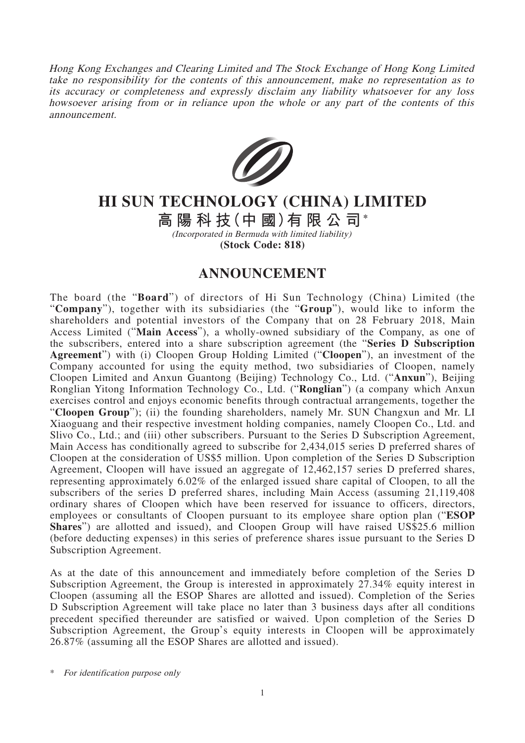Hong Kong Exchanges and Clearing Limited and The Stock Exchange of Hong Kong Limited take no responsibility for the contents of this announcement, make no representation as to its accuracy or completeness and expressly disclaim any liability whatsoever for any loss howsoever arising from or in reliance upon the whole or any part of the contents of this announcement.



## **HI SUN TECHNOLOGY (CHINA) LIMITED**

**高陽科技(中 國)有限公司\***

(Incorporated in Bermuda with limited liability) **(Stock Code: 818)**

## **ANNOUNCEMENT**

The board (the "**Board**") of directors of Hi Sun Technology (China) Limited (the "**Company**"), together with its subsidiaries (the "**Group**"), would like to inform the shareholders and potential investors of the Company that on 28 February 2018, Main Access Limited ("**Main Access**"), a wholly-owned subsidiary of the Company, as one of the subscribers, entered into a share subscription agreement (the "**Series D Subscription Agreement**") with (i) Cloopen Group Holding Limited ("**Cloopen**"), an investment of the Company accounted for using the equity method, two subsidiaries of Cloopen, namely Cloopen Limited and Anxun Guantong (Beijing) Technology Co., Ltd. ("**Anxun**"), Beijing Ronglian Yitong Information Technology Co., Ltd. ("**Ronglian**") (a company which Anxun exercises control and enjoys economic benefits through contractual arrangements, together the "**Cloopen Group**"); (ii) the founding shareholders, namely Mr. SUN Changxun and Mr. LI Xiaoguang and their respective investment holding companies, namely Cloopen Co., Ltd. and Slivo Co., Ltd.; and (iii) other subscribers. Pursuant to the Series D Subscription Agreement, Main Access has conditionally agreed to subscribe for 2,434,015 series D preferred shares of Cloopen at the consideration of US\$5 million. Upon completion of the Series D Subscription Agreement, Cloopen will have issued an aggregate of 12,462,157 series D preferred shares, representing approximately 6.02% of the enlarged issued share capital of Cloopen, to all the subscribers of the series D preferred shares, including Main Access (assuming 21,119,408 ordinary shares of Cloopen which have been reserved for issuance to officers, directors, employees or consultants of Cloopen pursuant to its employee share option plan ("**ESOP Shares**") are allotted and issued), and Cloopen Group will have raised US\$25.6 million (before deducting expenses) in this series of preference shares issue pursuant to the Series D Subscription Agreement.

As at the date of this announcement and immediately before completion of the Series D Subscription Agreement, the Group is interested in approximately 27.34% equity interest in Cloopen (assuming all the ESOP Shares are allotted and issued). Completion of the Series D Subscription Agreement will take place no later than 3 business days after all conditions precedent specified thereunder are satisfied or waived. Upon completion of the Series D Subscription Agreement, the Group's equity interests in Cloopen will be approximately 26.87% (assuming all the ESOP Shares are allotted and issued).

\* For identification purpose only